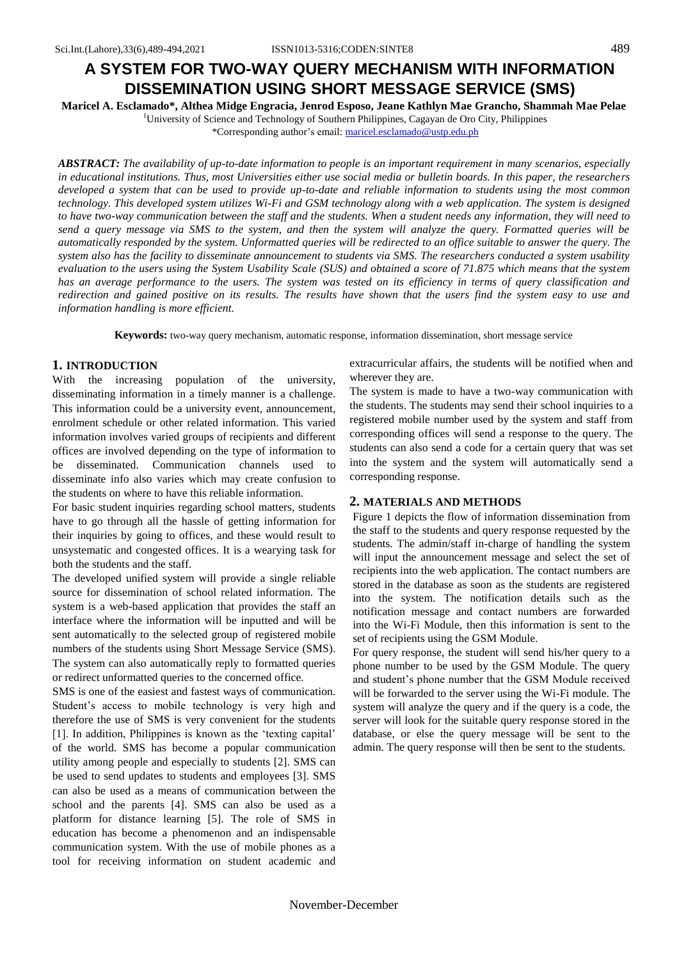# **A SYSTEM FOR TWO-WAY QUERY MECHANISM WITH INFORMATION DISSEMINATION USING SHORT MESSAGE SERVICE (SMS)**

**Maricel A. Esclamado\*, Althea Midge Engracia, Jenrod Esposo, Jeane Kathlyn Mae Grancho, Shammah Mae Pelae** <sup>1</sup>University of Science and Technology of Southern Philippines, Cagayan de Oro City, Philippines

\*Corresponding author's email: maricel.esclamado@ustp.edu.ph

*ABSTRACT: The availability of up-to-date information to people is an important requirement in many scenarios, especially in educational institutions. Thus, most Universities either use social media or bulletin boards. In this paper, the researchers developed a system that can be used to provide up-to-date and reliable information to students using the most common technology. This developed system utilizes Wi-Fi and GSM technology along with a web application. The system is designed to have two-way communication between the staff and the students. When a student needs any information, they will need to send a query message via SMS to the system, and then the system will analyze the query. Formatted queries will be automatically responded by the system. Unformatted queries will be redirected to an office suitable to answer the query. The system also has the facility to disseminate announcement to students via SMS. The researchers conducted a system usability evaluation to the users using the System Usability Scale (SUS) and obtained a score of 71.875 which means that the system has an average performance to the users. The system was tested on its efficiency in terms of query classification and redirection and gained positive on its results. The results have shown that the users find the system easy to use and information handling is more efficient.*

**Keywords:** two-way query mechanism, automatic response, information dissemination, short message service

## **1. INTRODUCTION**

With the increasing population of the university, disseminating information in a timely manner is a challenge. This information could be a university event, announcement, enrolment schedule or other related information. This varied information involves varied groups of recipients and different offices are involved depending on the type of information to be disseminated. Communication channels used to disseminate info also varies which may create confusion to the students on where to have this reliable information.

For basic student inquiries regarding school matters, students have to go through all the hassle of getting information for their inquiries by going to offices, and these would result to unsystematic and congested offices. It is a wearying task for both the students and the staff.

The developed unified system will provide a single reliable source for dissemination of school related information. The system is a web-based application that provides the staff an interface where the information will be inputted and will be sent automatically to the selected group of registered mobile numbers of the students using Short Message Service (SMS). The system can also automatically reply to formatted queries or redirect unformatted queries to the concerned office.

SMS is one of the easiest and fastest ways of communication. Student's access to mobile technology is very high and therefore the use of SMS is very convenient for the students [1]. In addition, Philippines is known as the 'texting capital' of the world. SMS has become a popular communication utility among people and especially to students [2]. SMS can be used to send updates to students and employees [3]. SMS can also be used as a means of communication between the school and the parents [4]. SMS can also be used as a platform for distance learning [5]. The role of SMS in education has become a phenomenon and an indispensable communication system. With the use of mobile phones as a tool for receiving information on student academic and extracurricular affairs, the students will be notified when and wherever they are.

The system is made to have a two-way communication with the students. The students may send their school inquiries to a registered mobile number used by the system and staff from corresponding offices will send a response to the query. The students can also send a code for a certain query that was set into the system and the system will automatically send a corresponding response.

### **2. MATERIALS AND METHODS**

Figure 1 depicts the flow of information dissemination from the staff to the students and query response requested by the students. The admin/staff in-charge of handling the system will input the announcement message and select the set of recipients into the web application. The contact numbers are stored in the database as soon as the students are registered into the system. The notification details such as the notification message and contact numbers are forwarded into the Wi-Fi Module, then this information is sent to the set of recipients using the GSM Module.

For query response, the student will send his/her query to a phone number to be used by the GSM Module. The query and student's phone number that the GSM Module received will be forwarded to the server using the Wi-Fi module. The system will analyze the query and if the query is a code, the server will look for the suitable query response stored in the database, or else the query message will be sent to the admin. The query response will then be sent to the students.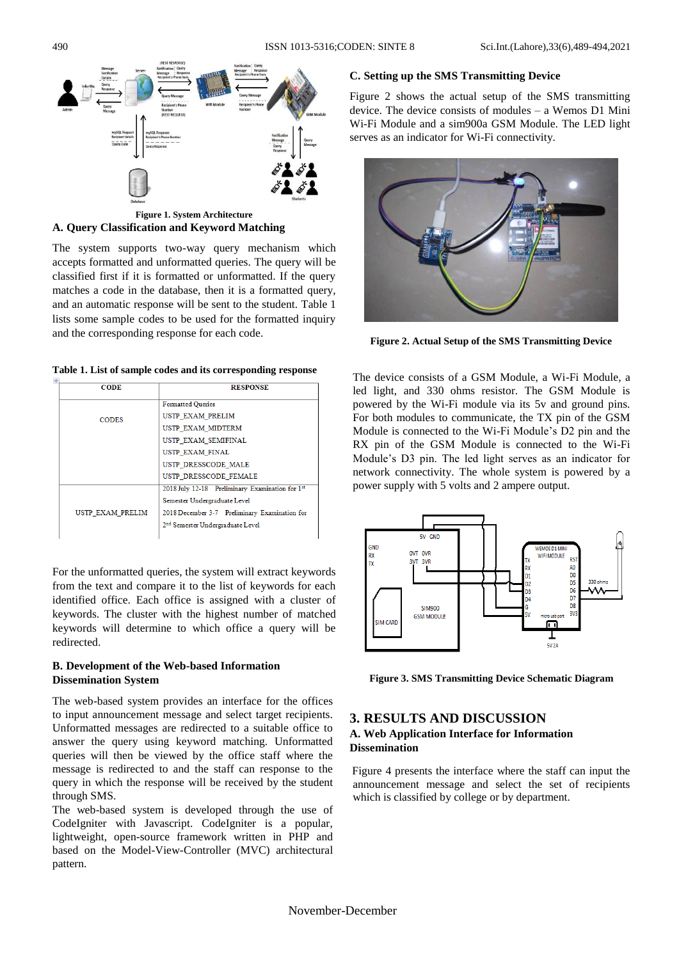

**Figure 1. System Architecture A. Query Classification and Keyword Matching** 

The system supports two-way query mechanism which accepts formatted and unformatted queries. The query will be classified first if it is formatted or unformatted. If the query matches a code in the database, then it is a formatted query, and an automatic response will be sent to the student. Table 1 lists some sample codes to be used for the formatted inquiry and the corresponding response for each code.

|  |  |  | Table 1. List of sample codes and its corresponding response |  |
|--|--|--|--------------------------------------------------------------|--|
|--|--|--|--------------------------------------------------------------|--|

| <b>CODE</b>      | <b>RESPONSE</b>                                 |  |  |
|------------------|-------------------------------------------------|--|--|
|                  | <b>Formatted Queries</b>                        |  |  |
| <b>CODES</b>     | USTP EXAM PRELIM                                |  |  |
|                  | USTP EXAM MIDTERM                               |  |  |
|                  | USTP EXAM SEMIFINAL                             |  |  |
|                  | USTP EXAM FINAL                                 |  |  |
|                  | USTP DRESSCODE MALE                             |  |  |
|                  | USTP DRESSCODE FEMALE                           |  |  |
|                  | 2018 July 12-18 Preliminary Examination for 1st |  |  |
|                  | Semester Undergraduate Level                    |  |  |
| USTP EXAM PRELIM | 2018 December 3-7 Preliminary Examination for   |  |  |
|                  | 2 <sup>nd</sup> Semester Undergraduate Level    |  |  |
|                  |                                                 |  |  |

For the unformatted queries, the system will extract keywords from the text and compare it to the list of keywords for each identified office. Each office is assigned with a cluster of keywords. The cluster with the highest number of matched keywords will determine to which office a query will be redirected.

## **B. Development of the Web-based Information Dissemination System**

The web-based system provides an interface for the offices to input announcement message and select target recipients. Unformatted messages are redirected to a suitable office to answer the query using keyword matching. Unformatted queries will then be viewed by the office staff where the message is redirected to and the staff can response to the query in which the response will be received by the student through SMS.

The web-based system is developed through the use of CodeIgniter with Javascript. CodeIgniter is a popular, lightweight, open-source framework written in PHP and based on the Model-View-Controller (MVC) architectural pattern.

## **C. Setting up the SMS Transmitting Device**

Figure 2 shows the actual setup of the SMS transmitting device. The device consists of modules – a Wemos D1 Mini Wi-Fi Module and a sim900a GSM Module. The LED light serves as an indicator for Wi-Fi connectivity.



**Figure 2. Actual Setup of the SMS Transmitting Device**

The device consists of a GSM Module, a Wi-Fi Module, a led light, and 330 ohms resistor. The GSM Module is powered by the Wi-Fi module via its 5v and ground pins. For both modules to communicate, the TX pin of the GSM Module is connected to the Wi-Fi Module's D2 pin and the RX pin of the GSM Module is connected to the Wi-Fi Module's D3 pin. The led light serves as an indicator for network connectivity. The whole system is powered by a power supply with 5 volts and 2 ampere output.



**Figure 3. SMS Transmitting Device Schematic Diagram**

# **3. RESULTS AND DISCUSSION**

# **A. Web Application Interface for Information Dissemination**

Figure 4 presents the interface where the staff can input the announcement message and select the set of recipients which is classified by college or by department.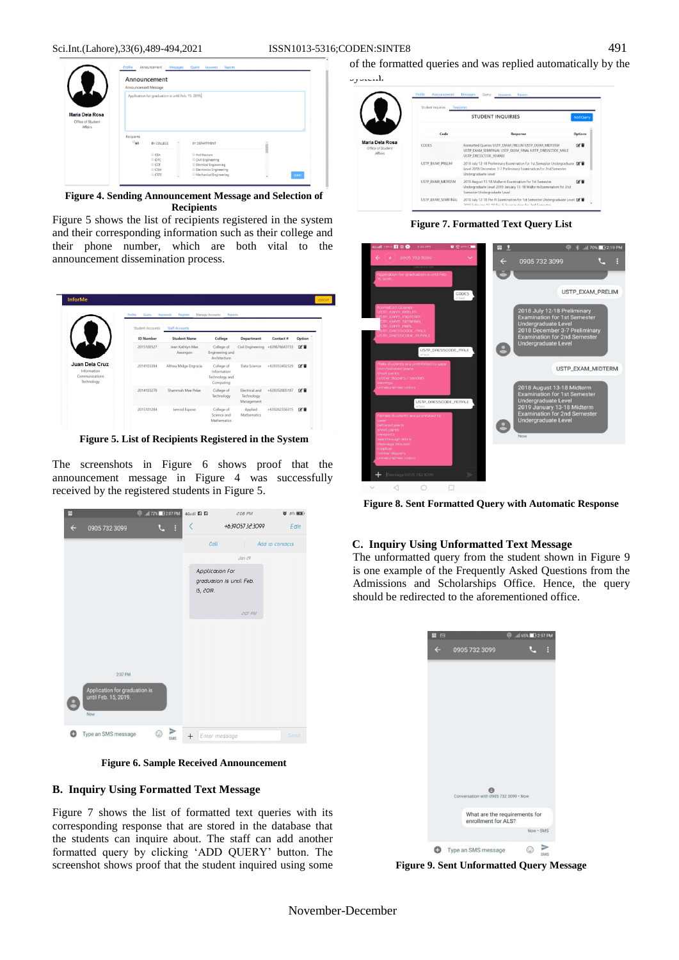

**Figure 4. Sending Announcement Message and Selection of Recipients**

Figure 5 shows the list of recipients registered in the system and their corresponding information such as their college and their phone number, which are both vital to the announcement dissemination process.

|                                                               | Student Accounts | <b>Staff Accounts</b>       |                                                          |                                            |               |        |
|---------------------------------------------------------------|------------------|-----------------------------|----------------------------------------------------------|--------------------------------------------|---------------|--------|
|                                                               | <b>ID Number</b> | <b>Student Name</b>         | College                                                  | Department                                 | Contact #     | Option |
|                                                               | 2015100527       | Jean Kathlyn Mae<br>Awongon | College of<br>Engineering and<br>Architecture            | Civil Engineering                          | +639676643733 | 区盲     |
| Juan Dela Cruz<br>Information<br>Communications<br>Technology | 2014103284       | Althea Midge Engracia       | College of<br>Information<br>Technology and<br>Computing | Data Science                               | +639353402329 | 区盲     |
|                                                               | 2014103278       | Shammah Mae Pelae           | College of<br>Technology                                 | Electrical and<br>Technology<br>Management | +639352805187 | 区盲     |
|                                                               | 2015101284       | Jenrod Esposo               | College of<br>Science and<br>Mathematics                 | Applied<br>Mathematics                     | +639262356315 | 図言     |

**Figure 5. List of Recipients Registered in the System**

The screenshots in Figure 6 shows proof that the announcement message in Figure 4 was successfully received by the registered students in Figure 5.



**Figure 6. Sample Received Announcement**

# **B. Inquiry Using Formatted Text Message**

Figure 7 shows the list of formatted text queries with its corresponding response that are stored in the database that the students can inquire about. The staff can add another formatted query by clicking 'ADD QUERY' button. The screenshot shows proof that the student inquired using some

of the formatted queries and was replied automatically by the

|                                                        | Student Inquiries<br>Templates | Keywords Reports                                                                                                                                                    |                  |
|--------------------------------------------------------|--------------------------------|---------------------------------------------------------------------------------------------------------------------------------------------------------------------|------------------|
|                                                        |                                | <b>STUDENT INQUIRIES</b>                                                                                                                                            | <b>Add Query</b> |
|                                                        | Code                           | Response                                                                                                                                                            | <b>Options</b>   |
| Maria Dela Rosa<br>Office of Student<br><b>Affairs</b> | <b>CODES</b>                   | Formatted Queries USTP EXAM PRELIM USTP EXAM MIDTERM<br>USTP EXAM SEMIFINAL USTP EXAM FINAL USTP DRESSCODE MALE<br>USTP DRESSCODE FEMALE                            | 区目               |
|                                                        | USTP EXAM PRELIM               | 2018 July 12-18 Preliminary Examination for 1st Semester Undergraduate D<br>Level 2018 December 3-7 Preliminary Examination for 2nd Semester<br>Undergraduate Level |                  |
|                                                        | USTP EXAM MIDTERM              | 2018 August 13-18 Midterm Examination for 1st Semester<br>Undergraduate Level 2019 January 13-18 Midterm Examination for 2nd<br>Semester Undergraduate Level        | 区盲               |
|                                                        | USTP EXAM SEMIFINAL            | 2018 July 12-18 Pre-Fi Examination for 1st Semester Undergraduate Level [2]<br>2010 Estevent 12, 10 Box E Examination for 2nd Computer                              |                  |

**Figure 7. Formatted Text Query List**



**Figure 8. Sent Formatted Query with Automatic Response**

### **C. Inquiry Using Unformatted Text Message**

The unformatted query from the student shown in Figure 9 is one example of the Frequently Asked Questions from the Admissions and Scholarships Office. Hence, the query should be redirected to the aforementioned office.

| $\Box$       |                                                      | © .ill 65% 2:57 PM |           |   |
|--------------|------------------------------------------------------|--------------------|-----------|---|
| $\leftarrow$ | 0905 732 3099                                        |                    |           | B |
|              |                                                      |                    |           |   |
|              |                                                      |                    |           |   |
|              |                                                      |                    |           |   |
|              |                                                      |                    |           |   |
|              |                                                      |                    |           |   |
|              |                                                      |                    |           |   |
|              |                                                      |                    |           |   |
|              |                                                      |                    |           |   |
|              |                                                      |                    |           |   |
|              | Conversation with 0905 732 3099 . Now                |                    |           |   |
|              | What are the requirements for<br>enrollment for ALS? |                    |           |   |
|              |                                                      |                    | Now · SMS |   |

**Figure 9. Sent Unformatted Query Message**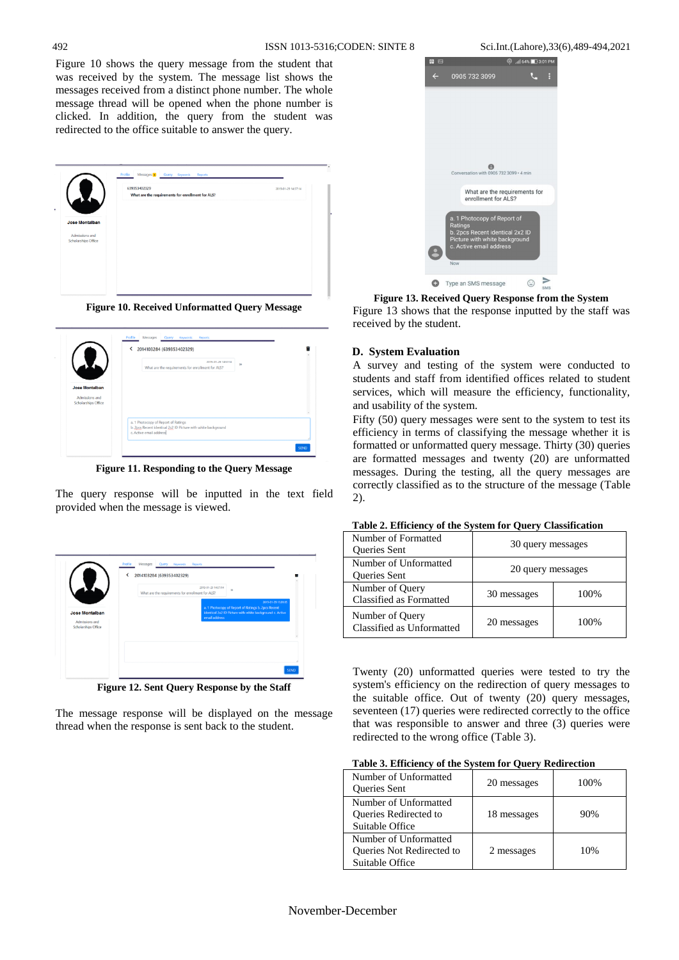Figure 10 shows the query message from the student that was received by the system. The message list shows the messages received from a distinct phone number. The whole message thread will be opened when the phone number is clicked. In addition, the query from the student was redirected to the office suitable to answer the query.

|                                       | Profile<br>Messages 1<br>Query Keywords<br>Reports                                       |  |
|---------------------------------------|------------------------------------------------------------------------------------------|--|
| $\lambda$                             | 639353402329<br>2019-01-29 14:57:14<br>What are the requirements for enrollment for ALS? |  |
|                                       |                                                                                          |  |
| Jose Montalban                        |                                                                                          |  |
| Admissions and<br>Scholarships Office |                                                                                          |  |
|                                       |                                                                                          |  |
|                                       |                                                                                          |  |
|                                       |                                                                                          |  |
|                                       |                                                                                          |  |

**Figure 10. Received Unformatted Query Message**



**Figure 11. Responding to the Query Message**

The query response will be inputted in the text field provided when the message is viewed.



**Figure 12. Sent Query Response by the Staff**

The message response will be displayed on the message thread when the response is sent back to the student.

| $\overline{a}$ |                                                                                                                                              | ൫ | 1 64% 3:01 PM |     |
|----------------|----------------------------------------------------------------------------------------------------------------------------------------------|---|---------------|-----|
|                | 0905 732 3099                                                                                                                                |   |               | Þ   |
|                | Conversation with 0905 732 3099 · 4 min                                                                                                      |   |               |     |
|                | What are the requirements for<br>enrollment for ALS?                                                                                         |   |               |     |
|                | a. 1 Photocopy of Report of<br>Ratings<br>b. 2pcs Recent identical 2x2 ID<br>Picture with white background<br>c. Active email address<br>Now |   |               |     |
|                | Type an SMS message                                                                                                                          |   | υ             | SMS |

**Figure 13. Received Query Response from the System** Figure 13 shows that the response inputted by the staff was received by the student.

### **D. System Evaluation**

A survey and testing of the system were conducted to students and staff from identified offices related to student services, which will measure the efficiency, functionality, and usability of the system.

Fifty (50) query messages were sent to the system to test its efficiency in terms of classifying the message whether it is formatted or unformatted query message. Thirty (30) queries are formatted messages and twenty (20) are unformatted messages. During the testing, all the query messages are correctly classified as to the structure of the message (Table 2).

| Number of Formatted<br>Queries Sent          | 30 query messages |      |
|----------------------------------------------|-------------------|------|
| Number of Unformatted<br>Queries Sent        | 20 query messages |      |
| Number of Query<br>Classified as Formatted   | 30 messages       | 100% |
| Number of Query<br>Classified as Unformatted | 20 messages       | 100% |

**Table 2. Efficiency of the System for Query Classification**

Twenty (20) unformatted queries were tested to try the system's efficiency on the redirection of query messages to the suitable office. Out of twenty (20) query messages, seventeen (17) queries were redirected correctly to the office that was responsible to answer and three (3) queries were redirected to the wrong office (Table 3).

| Table 3. Efficiency of the System for Query Redirection |  |
|---------------------------------------------------------|--|
|---------------------------------------------------------|--|

| Number of Unformatted<br><b>Oueries</b> Sent                          | 20 messages | 100% |
|-----------------------------------------------------------------------|-------------|------|
| Number of Unformatted<br>Queries Redirected to<br>Suitable Office     | 18 messages | 90%  |
| Number of Unformatted<br>Queries Not Redirected to<br>Suitable Office | 2 messages  | 10%  |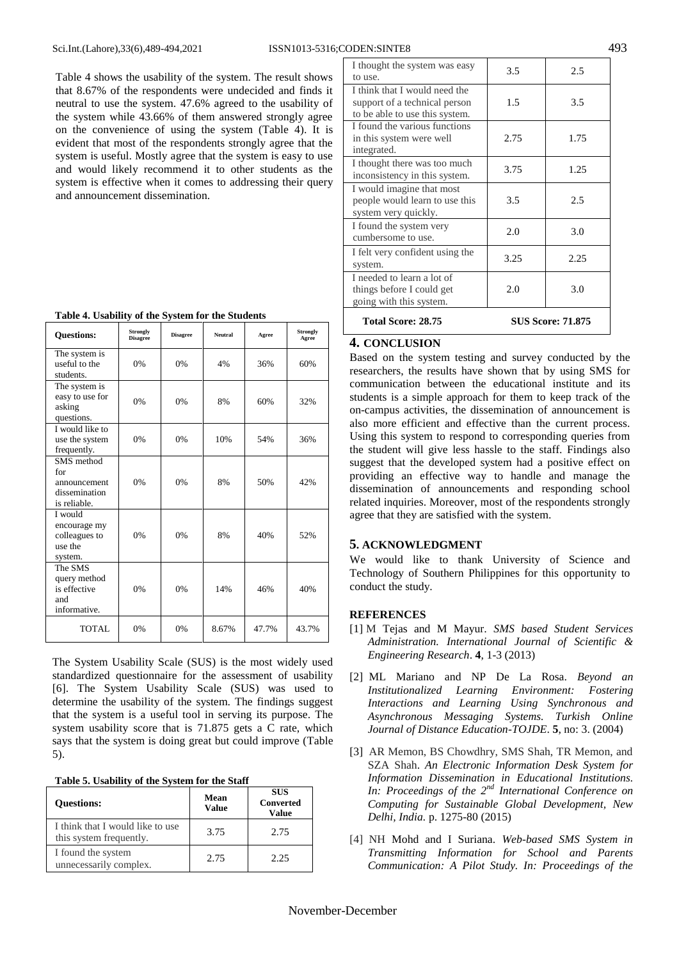Table 4 shows the usability of the system. The result shows that 8.67% of the respondents were undecided and finds it neutral to use the system. 47.6% agreed to the usability of the system while 43.66% of them answered strongly agree on the convenience of using the system (Table 4). It is evident that most of the respondents strongly agree that the system is useful. Mostly agree that the system is easy to use and would likely recommend it to other students as the system is effective when it comes to addressing their query and announcement dissemination.

| <b>Questions:</b>                                                  | <b>Strongly</b><br><b>Disagree</b> | <b>Disagree</b> | <b>Neutral</b> | Agree | <b>Strongly</b><br>Agree |
|--------------------------------------------------------------------|------------------------------------|-----------------|----------------|-------|--------------------------|
| The system is<br>useful to the<br>students.                        | 0%                                 | 0%              | 4%             | 36%   | 60%                      |
| The system is<br>easy to use for<br>asking<br>questions.           | 0%                                 | 0%              | 8%             | 60%   | 32%                      |
| I would like to<br>use the system<br>frequently.                   | 0%                                 | 0%              | 10%            | 54%   | 36%                      |
| SMS method<br>for<br>announcement<br>dissemination<br>is reliable. | 0%                                 | 0%              | 8%             | 50%   | 42%                      |
| I would<br>encourage my<br>colleagues to<br>use the<br>system.     | 0%                                 | 0%              | 8%             | 40%   | 52%                      |
| The SMS<br>query method<br>is effective<br>and<br>informative.     | 0%                                 | 0%              | 14%            | 46%   | 40%                      |
| TOTAL                                                              | 0%                                 | 0%              | 8.67%          | 47.7% | 43.7%                    |

The System Usability Scale (SUS) is the most widely used standardized questionnaire for the assessment of usability [6]. The System Usability Scale (SUS) was used to determine the usability of the system. The findings suggest that the system is a useful tool in serving its purpose. The system usability score that is 71.875 gets a C rate, which says that the system is doing great but could improve (Table 5).

**Table 5. Usability of the System for the Staff**

| <b>Ouestions:</b>                                           | Mean<br><b>Value</b> | <b>SUS</b><br><b>Converted</b><br><b>Value</b> |
|-------------------------------------------------------------|----------------------|------------------------------------------------|
| I think that I would like to use<br>this system frequently. | 3.75                 | 2.75                                           |
| I found the system<br>unnecessarily complex.                | 2.75                 | 2.25                                           |

| I think that I would need the<br>support of a technical person<br>1.5<br>3.5<br>to be able to use this system.<br>I found the various functions<br>2.75<br>1.75<br>in this system were well<br>integrated.<br>I thought there was too much<br>1.25<br>3.75<br>inconsistency in this system.<br>I would imagine that most<br>people would learn to use this<br>3.5<br>2.5<br>system very quickly.<br>I found the system very<br>2.0<br>3.0<br>cumbersome to use.<br>I felt very confident using the<br>3.25<br>2.25<br>system.<br>I needed to learn a lot of<br>things before I could get<br>2.0<br>3.0 | I thought the system was easy<br>to use. | 3.5 | 2.5 |
|--------------------------------------------------------------------------------------------------------------------------------------------------------------------------------------------------------------------------------------------------------------------------------------------------------------------------------------------------------------------------------------------------------------------------------------------------------------------------------------------------------------------------------------------------------------------------------------------------------|------------------------------------------|-----|-----|
|                                                                                                                                                                                                                                                                                                                                                                                                                                                                                                                                                                                                        |                                          |     |     |
|                                                                                                                                                                                                                                                                                                                                                                                                                                                                                                                                                                                                        |                                          |     |     |
|                                                                                                                                                                                                                                                                                                                                                                                                                                                                                                                                                                                                        |                                          |     |     |
|                                                                                                                                                                                                                                                                                                                                                                                                                                                                                                                                                                                                        |                                          |     |     |
|                                                                                                                                                                                                                                                                                                                                                                                                                                                                                                                                                                                                        |                                          |     |     |
|                                                                                                                                                                                                                                                                                                                                                                                                                                                                                                                                                                                                        |                                          |     |     |
|                                                                                                                                                                                                                                                                                                                                                                                                                                                                                                                                                                                                        | going with this system.                  |     |     |

**Total Score: 28.75 SUS Score: 71.875** 

# **4. CONCLUSION**

Based on the system testing and survey conducted by the researchers, the results have shown that by using SMS for communication between the educational institute and its students is a simple approach for them to keep track of the on-campus activities, the dissemination of announcement is also more efficient and effective than the current process. Using this system to respond to corresponding queries from the student will give less hassle to the staff. Findings also suggest that the developed system had a positive effect on providing an effective way to handle and manage the dissemination of announcements and responding school related inquiries. Moreover, most of the respondents strongly agree that they are satisfied with the system.

### **5. ACKNOWLEDGMENT**

We would like to thank University of Science and Technology of Southern Philippines for this opportunity to conduct the study.

### **REFERENCES**

- [1] M Tejas and M Mayur. *SMS based Student Services Administration. International Journal of Scientific & Engineering Research*. **4**, 1-3 (2013)
- [2] ML Mariano and NP De La Rosa. *Beyond an Institutionalized Learning Environment: Fostering Interactions and Learning Using Synchronous and Asynchronous Messaging Systems. Turkish Online Journal of Distance Education-TOJDE*. **5**, no: 3. (2004)
- [3] AR Memon, BS Chowdhry, SMS Shah, TR Memon, and SZA Shah. *An Electronic Information Desk System for Information Dissemination in Educational Institutions. In: Proceedings of the 2nd International Conference on Computing for Sustainable Global Development, New Delhi, India.* p. 1275-80 (2015)
- [4] NH Mohd and I Suriana. *Web-based SMS System in Transmitting Information for School and Parents Communication: A Pilot Study. In: Proceedings of the*